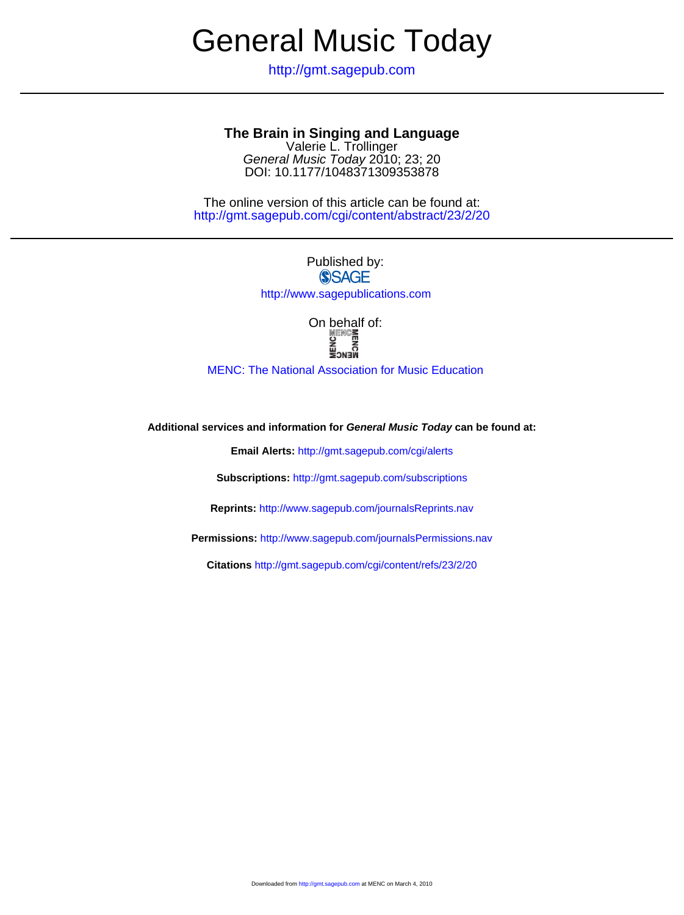# General Music Today

http://gmt.sagepub.com

## **The Brain in Singing and Language**

DOI: 10.1177/1048371309353878 General Music Today 2010; 23; 20 Valerie L. Trollinger

http://gmt.sagepub.com/cgi/content/abstract/23/2/20 The online version of this article can be found at:

Published by:<br>
SAGE

http://www.sagepublications.com

On behalf of:<br> **SERCE**<br> **E**<br> **E** 

[MENC: The National Association for Music Education](http://www.menc.org)

**Additional services and information for General Music Today can be found at:**

**Email Alerts:** <http://gmt.sagepub.com/cgi/alerts>

**Subscriptions:** <http://gmt.sagepub.com/subscriptions>

**Reprints:** <http://www.sagepub.com/journalsReprints.nav>

**Permissions:** <http://www.sagepub.com/journalsPermissions.nav>

**Citations** <http://gmt.sagepub.com/cgi/content/refs/23/2/20>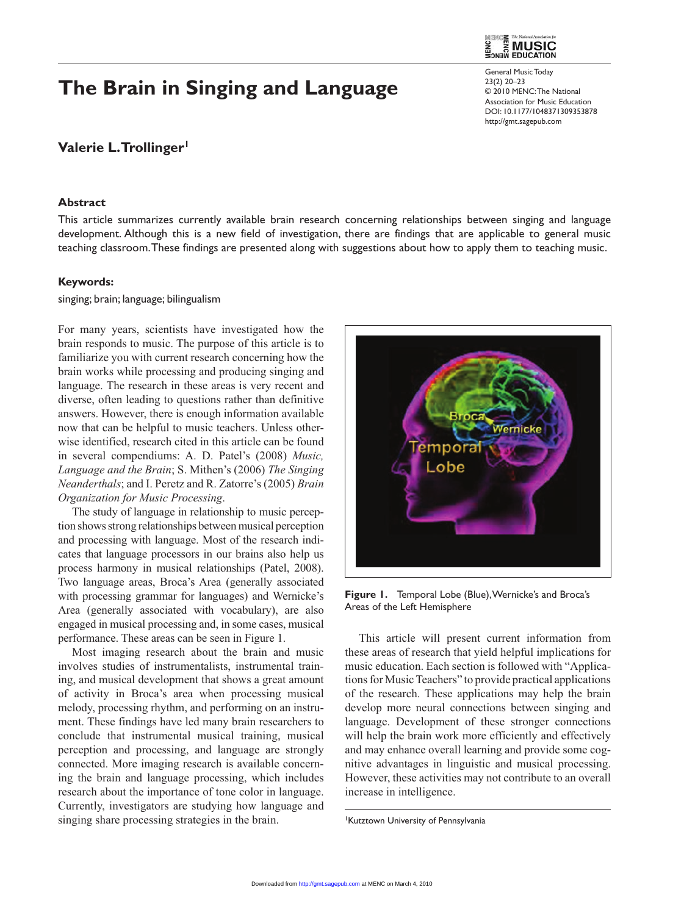## **The Brain in Singing and Language**

**Valerie L. Trollinger1**

### **Abstract**



General Music Today 23(2) 20–23 © 2010 MENC: The National Association for Music Education DOI: 10.1177/1048371309353878 http://gmt.sagepub.com

This article summarizes currently available brain research concerning relationships between singing and language development. Although this is a new field of investigation, there are findings that are applicable to general music teaching classroom. These findings are presented along with suggestions about how to apply them to teaching music.

#### **Keywords:**

singing; brain; language; bilingualism

For many years, scientists have investigated how the brain responds to music. The purpose of this article is to familiarize you with current research concerning how the brain works while processing and producing singing and language. The research in these areas is very recent and diverse, often leading to questions rather than definitive answers. However, there is enough information available now that can be helpful to music teachers. Unless otherwise identified, research cited in this article can be found in several compendiums: A. D. Patel's (2008) *Music, Language and the Brain*; S. Mithen's (2006) *The Singing Neanderthals*; and I. Peretz and R. Zatorre's (2005) *Brain Organization for Music Processing*.

The study of language in relationship to music perception shows strong relationships between musical perception and processing with language. Most of the research indicates that language processors in our brains also help us process harmony in musical relationships (Patel, 2008). Two language areas, Broca's Area (generally associated with processing grammar for languages) and Wernicke's Area (generally associated with vocabulary), are also engaged in musical processing and, in some cases, musical performance. These areas can be seen in Figure 1.

Most imaging research about the brain and music involves studies of instrumentalists, instrumental training, and musical development that shows a great amount of activity in Broca's area when processing musical melody, processing rhythm, and performing on an instrument. These findings have led many brain researchers to conclude that instrumental musical training, musical perception and processing, and language are strongly connected. More imaging research is available concerning the brain and language processing, which includes research about the importance of tone color in language. Currently, investigators are studying how language and singing share processing strategies in the brain.



**Figure 1.** Temporal Lobe (Blue), Wernicke's and Broca's Areas of the Left Hemisphere

This article will present current information from these areas of research that yield helpful implications for music education. Each section is followed with "Applications for Music Teachers" to provide practical applications of the research. These applications may help the brain develop more neural connections between singing and language. Development of these stronger connections will help the brain work more efficiently and effectively and may enhance overall learning and provide some cognitive advantages in linguistic and musical processing. However, these activities may not contribute to an overall increase in intelligence.

1 Kutztown University of Pennsylvania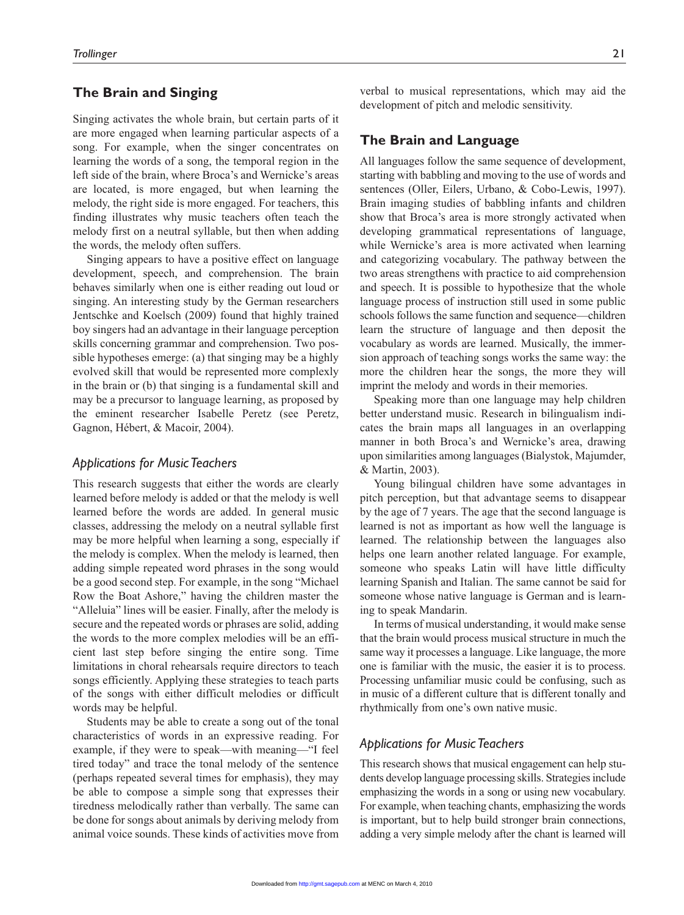## **The Brain and Singing**

Singing activates the whole brain, but certain parts of it are more engaged when learning particular aspects of a song. For example, when the singer concentrates on learning the words of a song, the temporal region in the left side of the brain, where Broca's and Wernicke's areas are located, is more engaged, but when learning the melody, the right side is more engaged. For teachers, this finding illustrates why music teachers often teach the melody first on a neutral syllable, but then when adding the words, the melody often suffers.

Singing appears to have a positive effect on language development, speech, and comprehension. The brain behaves similarly when one is either reading out loud or singing. An interesting study by the German researchers Jentschke and Koelsch (2009) found that highly trained boy singers had an advantage in their language perception skills concerning grammar and comprehension. Two possible hypotheses emerge: (a) that singing may be a highly evolved skill that would be represented more complexly in the brain or (b) that singing is a fundamental skill and may be a precursor to language learning, as proposed by the eminent researcher Isabelle Peretz (see Peretz, Gagnon, Hébert, & Macoir, 2004).

## *Applications for Music Teachers*

This research suggests that either the words are clearly learned before melody is added or that the melody is well learned before the words are added. In general music classes, addressing the melody on a neutral syllable first may be more helpful when learning a song, especially if the melody is complex. When the melody is learned, then adding simple repeated word phrases in the song would be a good second step. For example, in the song "Michael Row the Boat Ashore," having the children master the "Alleluia" lines will be easier. Finally, after the melody is secure and the repeated words or phrases are solid, adding the words to the more complex melodies will be an efficient last step before singing the entire song. Time limitations in choral rehearsals require directors to teach songs efficiently. Applying these strategies to teach parts of the songs with either difficult melodies or difficult words may be helpful.

Students may be able to create a song out of the tonal characteristics of words in an expressive reading. For example, if they were to speak—with meaning—"I feel tired today" and trace the tonal melody of the sentence (perhaps repeated several times for emphasis), they may be able to compose a simple song that expresses their tiredness melodically rather than verbally. The same can be done for songs about animals by deriving melody from animal voice sounds. These kinds of activities move from verbal to musical representations, which may aid the development of pitch and melodic sensitivity.

## **The Brain and Language**

All languages follow the same sequence of development, starting with babbling and moving to the use of words and sentences (Oller, Eilers, Urbano, & Cobo-Lewis, 1997). Brain imaging studies of babbling infants and children show that Broca's area is more strongly activated when developing grammatical representations of language, while Wernicke's area is more activated when learning and categorizing vocabulary. The pathway between the two areas strengthens with practice to aid comprehension and speech. It is possible to hypothesize that the whole language process of instruction still used in some public schools follows the same function and sequence—children learn the structure of language and then deposit the vocabulary as words are learned. Musically, the immersion approach of teaching songs works the same way: the more the children hear the songs, the more they will imprint the melody and words in their memories.

Speaking more than one language may help children better understand music. Research in bilingualism indicates the brain maps all languages in an overlapping manner in both Broca's and Wernicke's area, drawing upon similarities among languages (Bialystok, Majumder, & Martin, 2003).

Young bilingual children have some advantages in pitch perception, but that advantage seems to disappear by the age of 7 years. The age that the second language is learned is not as important as how well the language is learned. The relationship between the languages also helps one learn another related language. For example, someone who speaks Latin will have little difficulty learning Spanish and Italian. The same cannot be said for someone whose native language is German and is learning to speak Mandarin.

In terms of musical understanding, it would make sense that the brain would process musical structure in much the same way it processes a language. Like language, the more one is familiar with the music, the easier it is to process. Processing unfamiliar music could be confusing, such as in music of a different culture that is different tonally and rhythmically from one's own native music.

## *Applications for Music Teachers*

This research shows that musical engagement can help students develop language processing skills. Strategies include emphasizing the words in a song or using new vocabulary. For example, when teaching chants, emphasizing the words is important, but to help build stronger brain connections, adding a very simple melody after the chant is learned will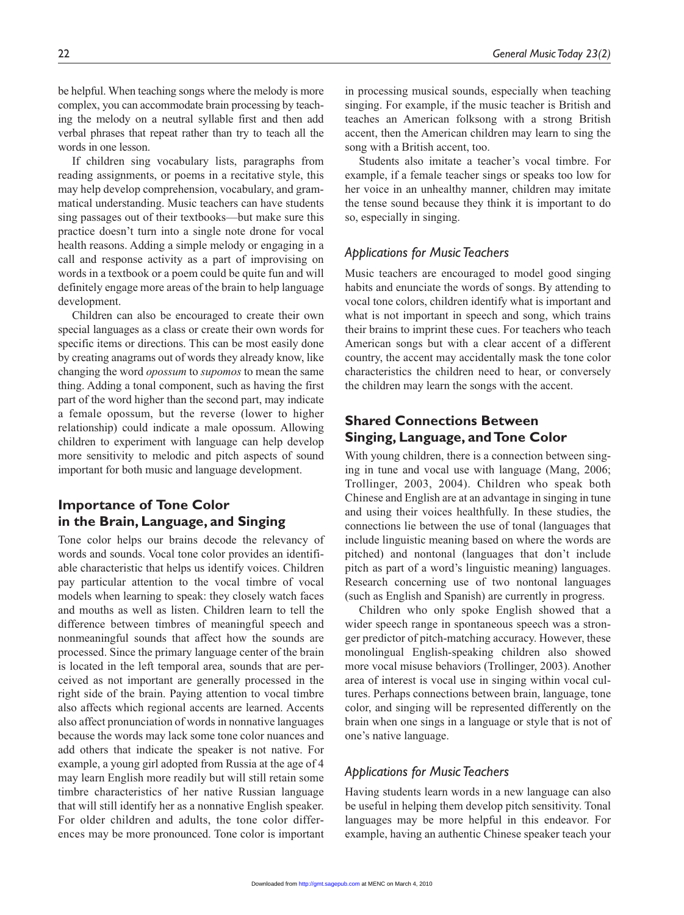be helpful. When teaching songs where the melody is more complex, you can accommodate brain processing by teaching the melody on a neutral syllable first and then add verbal phrases that repeat rather than try to teach all the words in one lesson.

If children sing vocabulary lists, paragraphs from reading assignments, or poems in a recitative style, this may help develop comprehension, vocabulary, and grammatical understanding. Music teachers can have students sing passages out of their textbooks—but make sure this practice doesn't turn into a single note drone for vocal health reasons. Adding a simple melody or engaging in a call and response activity as a part of improvising on words in a textbook or a poem could be quite fun and will definitely engage more areas of the brain to help language development.

Children can also be encouraged to create their own special languages as a class or create their own words for specific items or directions. This can be most easily done by creating anagrams out of words they already know, like changing the word *opossum* to *supomos* to mean the same thing. Adding a tonal component, such as having the first part of the word higher than the second part, may indicate a female opossum, but the reverse (lower to higher relationship) could indicate a male opossum. Allowing children to experiment with language can help develop more sensitivity to melodic and pitch aspects of sound important for both music and language development.

## **Importance of Tone Color in the Brain, Language, and Singing**

Tone color helps our brains decode the relevancy of words and sounds. Vocal tone color provides an identifiable characteristic that helps us identify voices. Children pay particular attention to the vocal timbre of vocal models when learning to speak: they closely watch faces and mouths as well as listen. Children learn to tell the difference between timbres of meaningful speech and nonmeaningful sounds that affect how the sounds are processed. Since the primary language center of the brain is located in the left temporal area, sounds that are perceived as not important are generally processed in the right side of the brain. Paying attention to vocal timbre also affects which regional accents are learned. Accents also affect pronunciation of words in nonnative languages because the words may lack some tone color nuances and add others that indicate the speaker is not native. For example, a young girl adopted from Russia at the age of 4 may learn English more readily but will still retain some timbre characteristics of her native Russian language that will still identify her as a nonnative English speaker. For older children and adults, the tone color differences may be more pronounced. Tone color is important in processing musical sounds, especially when teaching singing. For example, if the music teacher is British and teaches an American folksong with a strong British accent, then the American children may learn to sing the song with a British accent, too.

Students also imitate a teacher's vocal timbre. For example, if a female teacher sings or speaks too low for her voice in an unhealthy manner, children may imitate the tense sound because they think it is important to do so, especially in singing.

## *Applications for Music Teachers*

Music teachers are encouraged to model good singing habits and enunciate the words of songs. By attending to vocal tone colors, children identify what is important and what is not important in speech and song, which trains their brains to imprint these cues. For teachers who teach American songs but with a clear accent of a different country, the accent may accidentally mask the tone color characteristics the children need to hear, or conversely the children may learn the songs with the accent.

## **Shared Connections Between Singing, Language, and Tone Color**

With young children, there is a connection between singing in tune and vocal use with language (Mang, 2006; Trollinger, 2003, 2004). Children who speak both Chinese and English are at an advantage in singing in tune and using their voices healthfully. In these studies, the connections lie between the use of tonal (languages that include linguistic meaning based on where the words are pitched) and nontonal (languages that don't include pitch as part of a word's linguistic meaning) languages. Research concerning use of two nontonal languages (such as English and Spanish) are currently in progress.

Children who only spoke English showed that a wider speech range in spontaneous speech was a stronger predictor of pitch-matching accuracy. However, these monolingual English-speaking children also showed more vocal misuse behaviors (Trollinger, 2003). Another area of interest is vocal use in singing within vocal cultures. Perhaps connections between brain, language, tone color, and singing will be represented differently on the brain when one sings in a language or style that is not of one's native language.

## *Applications for Music Teachers*

Having students learn words in a new language can also be useful in helping them develop pitch sensitivity. Tonal languages may be more helpful in this endeavor. For example, having an authentic Chinese speaker teach your